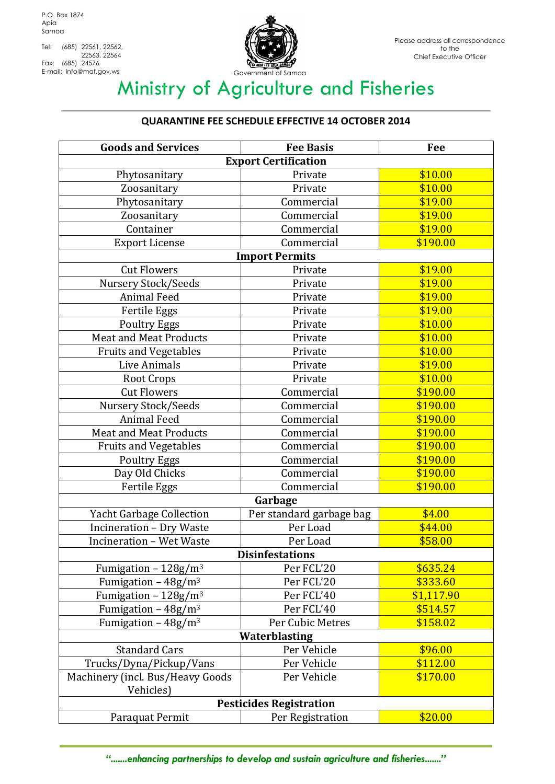Tel: (685) 22561, 22562, 22563, 22564 Fax: (685) 24576<br>E-mail: info@maf.gov,ws



## Ministry of Agriculture and Fisheries

## **QUARANTINE FEE SCHEDULE EFFECTIVE 14 OCTOBER 2014**

| <b>Goods and Services</b>        | <b>Fee Basis</b>         | Fee        |  |
|----------------------------------|--------------------------|------------|--|
| <b>Export Certification</b>      |                          |            |  |
| Phytosanitary                    | Private                  | \$10.00    |  |
| Zoosanitary                      | Private                  | \$10.00    |  |
| Phytosanitary                    | Commercial               | \$19.00    |  |
| Zoosanitary                      | Commercial               | \$19.00    |  |
| Container                        | Commercial               | \$19.00    |  |
| <b>Export License</b>            | Commercial               | \$190.00   |  |
| <b>Import Permits</b>            |                          |            |  |
| <b>Cut Flowers</b>               | Private                  | \$19.00    |  |
| Nursery Stock/Seeds              | Private                  | \$19.00    |  |
| <b>Animal Feed</b>               | Private                  | \$19.00    |  |
| Fertile Eggs                     | Private                  | \$19.00    |  |
| <b>Poultry Eggs</b>              | Private                  | \$10.00    |  |
| <b>Meat and Meat Products</b>    | Private                  | \$10.00    |  |
| Fruits and Vegetables            | Private                  | \$10.00    |  |
| Live Animals                     | Private                  | \$19.00    |  |
| Root Crops                       | Private                  | \$10.00    |  |
| <b>Cut Flowers</b>               | Commercial               | \$190.00   |  |
| Nursery Stock/Seeds              | Commercial               | \$190.00   |  |
| <b>Animal Feed</b>               | Commercial               | \$190.00   |  |
| <b>Meat and Meat Products</b>    | Commercial               | \$190.00   |  |
| <b>Fruits and Vegetables</b>     | Commercial               | \$190.00   |  |
| <b>Poultry Eggs</b>              | Commercial               | \$190.00   |  |
| Day Old Chicks                   | Commercial               | \$190.00   |  |
| Fertile Eggs                     | Commercial               | \$190.00   |  |
| Garbage                          |                          |            |  |
| <b>Yacht Garbage Collection</b>  | Per standard garbage bag | \$4.00     |  |
| Incineration - Dry Waste         | Per Load                 | \$44.00    |  |
| <b>Incineration - Wet Waste</b>  | Per Load                 | \$58.00    |  |
| <b>Disinfestations</b>           |                          |            |  |
| Fumigation - $128g/m3$           | Per FCL'20               | \$635.24   |  |
| Fumigation – $48g/m3$            | Per FCL'20               | \$333.60   |  |
| Fumigation - $128g/m^3$          | Per FCL'40               | \$1,117.90 |  |
| Fumigation - $48g/m3$            | Per FCL'40               | \$514.57   |  |
| Fumigation - $48g/m^3$           | Per Cubic Metres         | \$158.02   |  |
| <b>Waterblasting</b>             |                          |            |  |
| <b>Standard Cars</b>             | Per Vehicle              | \$96.00    |  |
| Trucks/Dyna/Pickup/Vans          | Per Vehicle              | \$112.00   |  |
| Machinery (incl. Bus/Heavy Goods | Per Vehicle              | \$170.00   |  |
| Vehicles)                        |                          |            |  |
| <b>Pesticides Registration</b>   |                          |            |  |
| Paraquat Permit                  | Per Registration         | \$20.00    |  |